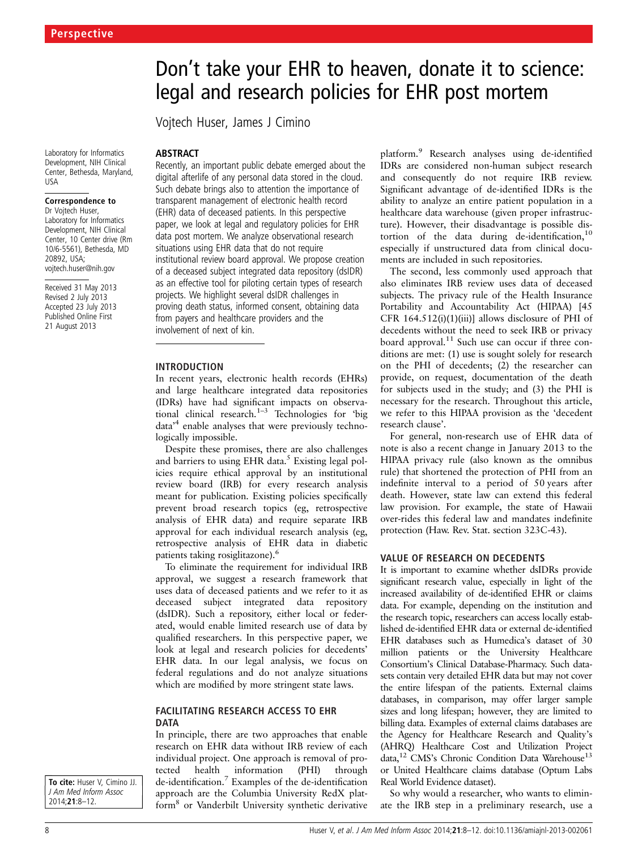Laboratory for Informatics Development, NIH Clinical Center, Bethesda, Maryland, USA

#### Correspondence to

Dr Vojtech Huser, Laboratory for Informatics Development, NIH Clinical Center, 10 Center drive (Rm 10/6-5561), Bethesda, MD 20892, USA; vojtech.huser@nih.gov

Received 31 May 2013 Revised 2 July 2013 Accepted 23 July 2013 Published Online First 21 August 2013

# Don't take your EHR to heaven, donate it to science: legal and research policies for EHR post mortem

Vojtech Huser, James J Cimino

#### ABSTRACT

Recently, an important public debate emerged about the digital afterlife of any personal data stored in the cloud. Such debate brings also to attention the importance of transparent management of electronic health record (EHR) data of deceased patients. In this perspective paper, we look at legal and regulatory policies for EHR data post mortem. We analyze observational research situations using EHR data that do not require institutional review board approval. We propose creation of a deceased subject integrated data repository (dsIDR) as an effective tool for piloting certain types of research projects. We highlight several dsIDR challenges in proving death status, informed consent, obtaining data from payers and healthcare providers and the involvement of next of kin.

#### INTRODUCTION

In recent years, electronic health records (EHRs) and large healthcare integrated data repositories (IDRs) have had significant impacts on observational clinical research.<sup>1–3</sup> Technologies for 'big data' <sup>4</sup> enable analyses that were previously technologically impossible.

Despite these promises, there are also challenges and barriers to using  $EHR$  data.<sup>5</sup> Existing legal policies require ethical approval by an institutional review board (IRB) for every research analysis meant for publication. Existing policies specifically prevent broad research topics (eg, retrospective analysis of EHR data) and require separate IRB approval for each individual research analysis (eg, retrospective analysis of EHR data in diabetic patients taking rosiglitazone).<sup>6</sup>

To eliminate the requirement for individual IRB approval, we suggest a research framework that uses data of deceased patients and we refer to it as deceased subject integrated data repository (dsIDR). Such a repository, either local or federated, would enable limited research use of data by qualified researchers. In this perspective paper, we look at legal and research policies for decedents' EHR data. In our legal analysis, we focus on federal regulations and do not analyze situations which are modified by more stringent state laws.

## FACILITATING RESEARCH ACCESS TO EHR DATA

In principle, there are two approaches that enable research on EHR data without IRB review of each individual project. One approach is removal of protected health information (PHI) through de-identification.<sup>7</sup> Examples of the de-identification approach are the Columbia University RedX platform<sup>8</sup> or Vanderbilt University synthetic derivative platform.9 Research analyses using de-identified IDRs are considered non-human subject research and consequently do not require IRB review. Significant advantage of de-identified IDRs is the ability to analyze an entire patient population in a healthcare data warehouse (given proper infrastructure). However, their disadvantage is possible distortion of the data during de-identification,<sup>10</sup> especially if unstructured data from clinical documents are included in such repositories.

The second, less commonly used approach that also eliminates IRB review uses data of deceased subjects. The privacy rule of the Health Insurance Portability and Accountability Act (HIPAA) [45 CFR 164.512(i)(1)(iii)] allows disclosure of PHI of decedents without the need to seek IRB or privacy board approval.<sup>11</sup> Such use can occur if three conditions are met: (1) use is sought solely for research on the PHI of decedents; (2) the researcher can provide, on request, documentation of the death for subjects used in the study; and (3) the PHI is necessary for the research. Throughout this article, we refer to this HIPAA provision as the 'decedent research clause'.

For general, non-research use of EHR data of note is also a recent change in January 2013 to the HIPAA privacy rule (also known as the omnibus rule) that shortened the protection of PHI from an indefinite interval to a period of 50 years after death. However, state law can extend this federal law provision. For example, the state of Hawaii over-rides this federal law and mandates indefinite protection (Haw. Rev. Stat. section 323C-43).

#### VALUE OF RESEARCH ON DECEDENTS

It is important to examine whether dsIDRs provide significant research value, especially in light of the increased availability of de-identified EHR or claims data. For example, depending on the institution and the research topic, researchers can access locally established de-identified EHR data or external de-identified EHR databases such as Humedica's dataset of 30 million patients or the University Healthcare Consortium's Clinical Database-Pharmacy. Such datasets contain very detailed EHR data but may not cover the entire lifespan of the patients. External claims databases, in comparison, may offer larger sample sizes and long lifespan; however, they are limited to billing data. Examples of external claims databases are the Agency for Healthcare Research and Quality's (AHRQ) Healthcare Cost and Utilization Project data,<sup>12</sup> CMS's Chronic Condition Data Warehouse<sup>13</sup> or United Healthcare claims database (Optum Labs Real World Evidence dataset).

So why would a researcher, who wants to eliminate the IRB step in a preliminary research, use a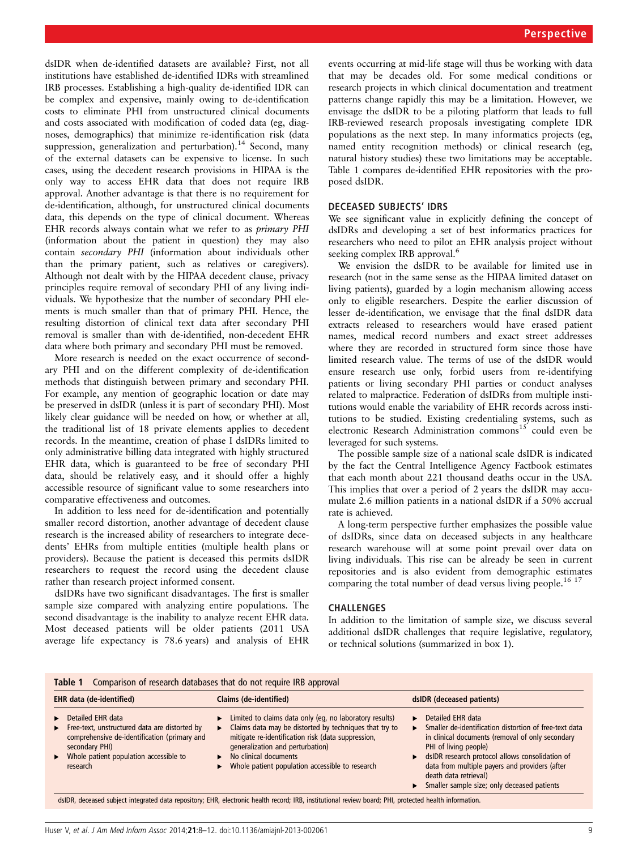Perspective

dsIDR when de-identified datasets are available? First, not all institutions have established de-identified IDRs with streamlined IRB processes. Establishing a high-quality de-identified IDR can be complex and expensive, mainly owing to de-identification costs to eliminate PHI from unstructured clinical documents and costs associated with modification of coded data (eg, diagnoses, demographics) that minimize re-identification risk (data suppression, generalization and perturbation).<sup>14</sup> Second, many of the external datasets can be expensive to license. In such cases, using the decedent research provisions in HIPAA is the only way to access EHR data that does not require IRB approval. Another advantage is that there is no requirement for de-identification, although, for unstructured clinical documents data, this depends on the type of clinical document. Whereas EHR records always contain what we refer to as primary PHI (information about the patient in question) they may also contain secondary PHI (information about individuals other than the primary patient, such as relatives or caregivers). Although not dealt with by the HIPAA decedent clause, privacy principles require removal of secondary PHI of any living individuals. We hypothesize that the number of secondary PHI elements is much smaller than that of primary PHI. Hence, the resulting distortion of clinical text data after secondary PHI removal is smaller than with de-identified, non-decedent EHR data where both primary and secondary PHI must be removed.

More research is needed on the exact occurrence of secondary PHI and on the different complexity of de-identification methods that distinguish between primary and secondary PHI. For example, any mention of geographic location or date may be preserved in dsIDR (unless it is part of secondary PHI). Most likely clear guidance will be needed on how, or whether at all, the traditional list of 18 private elements applies to decedent records. In the meantime, creation of phase I dsIDRs limited to only administrative billing data integrated with highly structured EHR data, which is guaranteed to be free of secondary PHI data, should be relatively easy, and it should offer a highly accessible resource of significant value to some researchers into comparative effectiveness and outcomes.

In addition to less need for de-identification and potentially smaller record distortion, another advantage of decedent clause research is the increased ability of researchers to integrate decedents' EHRs from multiple entities (multiple health plans or providers). Because the patient is deceased this permits dsIDR researchers to request the record using the decedent clause rather than research project informed consent.

dsIDRs have two significant disadvantages. The first is smaller sample size compared with analyzing entire populations. The second disadvantage is the inability to analyze recent EHR data. Most deceased patients will be older patients (2011 USA average life expectancy is 78.6 years) and analysis of EHR

events occurring at mid-life stage will thus be working with data that may be decades old. For some medical conditions or research projects in which clinical documentation and treatment patterns change rapidly this may be a limitation. However, we envisage the dsIDR to be a piloting platform that leads to full IRB-reviewed research proposals investigating complete IDR populations as the next step. In many informatics projects (eg, named entity recognition methods) or clinical research (eg, natural history studies) these two limitations may be acceptable. Table 1 compares de-identified EHR repositories with the proposed dsIDR.

#### DECEASED SUBJECTS' IDRS

We see significant value in explicitly defining the concept of dsIDRs and developing a set of best informatics practices for researchers who need to pilot an EHR analysis project without seeking complex IRB approval.<sup>6</sup>

We envision the dsIDR to be available for limited use in research (not in the same sense as the HIPAA limited dataset on living patients), guarded by a login mechanism allowing access only to eligible researchers. Despite the earlier discussion of lesser de-identification, we envisage that the final dsIDR data extracts released to researchers would have erased patient names, medical record numbers and exact street addresses where they are recorded in structured form since those have limited research value. The terms of use of the dsIDR would ensure research use only, forbid users from re-identifying patients or living secondary PHI parties or conduct analyses related to malpractice. Federation of dsIDRs from multiple institutions would enable the variability of EHR records across institutions to be studied. Existing credentialing systems, such as electronic Research Administration commons<sup>15</sup> could even be leveraged for such systems.

The possible sample size of a national scale dsIDR is indicated by the fact the Central Intelligence Agency Factbook estimates that each month about 221 thousand deaths occur in the USA. This implies that over a period of 2 years the dsIDR may accumulate 2.6 million patients in a national dsIDR if a 50% accrual rate is achieved.

A long-term perspective further emphasizes the possible value of dsIDRs, since data on deceased subjects in any healthcare research warehouse will at some point prevail over data on living individuals. This rise can be already be seen in current repositories and is also evident from demographic estimates comparing the total number of dead versus living people.<sup>16 17</sup>

#### CHALLENGES

In addition to the limitation of sample size, we discuss several additional dsIDR challenges that require legislative, regulatory, or technical solutions (summarized in box 1).

| Table 1<br><b>EHR</b> data (de-identified)                                                                                                                                                                                                              | Comparison of research databases that do not require IRB approval<br><b>Claims (de-identified)</b>                                                                                                                                                                                                                           | dsIDR (deceased patients)                                                                                                                                                                                                                                                                                                                                   |
|---------------------------------------------------------------------------------------------------------------------------------------------------------------------------------------------------------------------------------------------------------|------------------------------------------------------------------------------------------------------------------------------------------------------------------------------------------------------------------------------------------------------------------------------------------------------------------------------|-------------------------------------------------------------------------------------------------------------------------------------------------------------------------------------------------------------------------------------------------------------------------------------------------------------------------------------------------------------|
| $\blacktriangleright$ Detailed EHR data<br>$\blacktriangleright$ Free-text, unstructured data are distorted by<br>comprehensive de-identification (primary and<br>secondary PHI)<br>$\triangleright$ Whole patient population accessible to<br>research | • Limited to claims data only (eq. no laboratory results)<br>Claims data may be distorted by techniques that try to<br>▶<br>mitigate re-identification risk (data suppression,<br>generalization and perturbation)<br>No clinical documents<br>$\blacktriangleright$<br>Whole patient population accessible to research<br>ь | $\triangleright$ Detailed EHR data<br>Smaller de-identification distortion of free-text data<br>in clinical documents (removal of only secondary<br>PHI of living people)<br>Show dsIDR research protocol allows consolidation of<br>data from multiple payers and providers (after<br>death data retrieval)<br>Smaller sample size; only deceased patients |
| dsIDR, deceased subject integrated data repository; EHR, electronic health record; IRB, institutional review board; PHI, protected health information.                                                                                                  |                                                                                                                                                                                                                                                                                                                              |                                                                                                                                                                                                                                                                                                                                                             |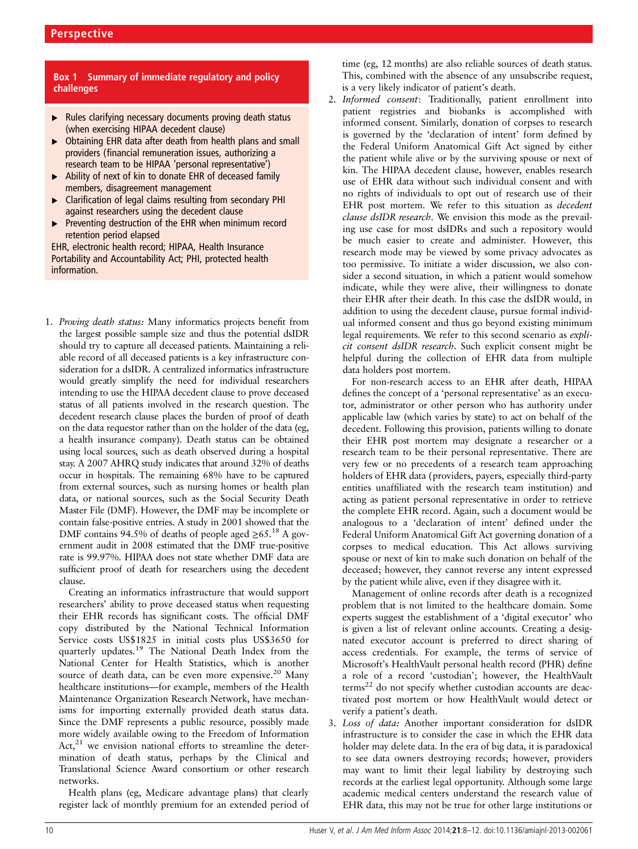## Box 1 Summary of immediate regulatory and policy challenges

- ▶ Rules clarifying necessary documents proving death status (when exercising HIPAA decedent clause)
- ▸ Obtaining EHR data after death from health plans and small providers (financial remuneration issues, authorizing a research team to be HIPAA 'personal representative')
- ▸ Ability of next of kin to donate EHR of deceased family members, disagreement management
- ▸ Clarification of legal claims resulting from secondary PHI against researchers using the decedent clause
- ▶ Preventing destruction of the EHR when minimum record retention period elapsed

EHR, electronic health record; HIPAA, Health Insurance Portability and Accountability Act; PHI, protected health information.

1. Proving death status: Many informatics projects benefit from the largest possible sample size and thus the potential dsIDR should try to capture all deceased patients. Maintaining a reliable record of all deceased patients is a key infrastructure consideration for a dsIDR. A centralized informatics infrastructure would greatly simplify the need for individual researchers intending to use the HIPAA decedent clause to prove deceased status of all patients involved in the research question. The decedent research clause places the burden of proof of death on the data requestor rather than on the holder of the data (eg, a health insurance company). Death status can be obtained using local sources, such as death observed during a hospital stay. A 2007 AHRQ study indicates that around 32% of deaths occur in hospitals. The remaining 68% have to be captured from external sources, such as nursing homes or health plan data, or national sources, such as the Social Security Death Master File (DMF). However, the DMF may be incomplete or contain false-positive entries. A study in 2001 showed that the DMF contains 94.5% of deaths of people aged  $\geq 65$ .<sup>18</sup> A government audit in 2008 estimated that the DMF true-positive rate is 99.97%. HIPAA does not state whether DMF data are sufficient proof of death for researchers using the decedent clause.

Creating an informatics infrastructure that would support researchers' ability to prove deceased status when requesting their EHR records has significant costs. The official DMF copy distributed by the National Technical Information Service costs US\$1825 in initial costs plus US\$3650 for quarterly updates.<sup>19</sup> The National Death Index from the National Center for Health Statistics, which is another source of death data, can be even more expensive.<sup>20</sup> Many healthcare institutions—for example, members of the Health Maintenance Organization Research Network, have mechanisms for importing externally provided death status data. Since the DMF represents a public resource, possibly made more widely available owing to the Freedom of Information Act, $2<sup>1</sup>$  we envision national efforts to streamline the determination of death status, perhaps by the Clinical and Translational Science Award consortium or other research networks.

Health plans (eg, Medicare advantage plans) that clearly register lack of monthly premium for an extended period of time (eg, 12 months) are also reliable sources of death status. This, combined with the absence of any unsubscribe request, is a very likely indicator of patient's death.

2. Informed consent: Traditionally, patient enrollment into patient registries and biobanks is accomplished with informed consent. Similarly, donation of corpses to research is governed by the 'declaration of intent' form defined by the Federal Uniform Anatomical Gift Act signed by either the patient while alive or by the surviving spouse or next of kin. The HIPAA decedent clause, however, enables research use of EHR data without such individual consent and with no rights of individuals to opt out of research use of their EHR post mortem. We refer to this situation as decedent clause dsIDR research. We envision this mode as the prevailing use case for most dsIDRs and such a repository would be much easier to create and administer. However, this research mode may be viewed by some privacy advocates as too permissive. To initiate a wider discussion, we also consider a second situation, in which a patient would somehow indicate, while they were alive, their willingness to donate their EHR after their death. In this case the dsIDR would, in addition to using the decedent clause, pursue formal individual informed consent and thus go beyond existing minimum legal requirements. We refer to this second scenario as explicit consent dsIDR research. Such explicit consent might be helpful during the collection of EHR data from multiple data holders post mortem.

For non-research access to an EHR after death, HIPAA defines the concept of a 'personal representative' as an executor, administrator or other person who has authority under applicable law (which varies by state) to act on behalf of the decedent. Following this provision, patients willing to donate their EHR post mortem may designate a researcher or a research team to be their personal representative. There are very few or no precedents of a research team approaching holders of EHR data (providers, payers, especially third-party entities unaffiliated with the research team institution) and acting as patient personal representative in order to retrieve the complete EHR record. Again, such a document would be analogous to a 'declaration of intent' defined under the Federal Uniform Anatomical Gift Act governing donation of a corpses to medical education. This Act allows surviving spouse or next of kin to make such donation on behalf of the deceased; however, they cannot reverse any intent expressed by the patient while alive, even if they disagree with it.

Management of online records after death is a recognized problem that is not limited to the healthcare domain. Some experts suggest the establishment of a 'digital executor' who is given a list of relevant online accounts. Creating a designated executor account is preferred to direct sharing of access credentials. For example, the terms of service of Microsoft's HealthVault personal health record (PHR) define a role of a record 'custodian'; however, the HealthVault  $\text{terms}^{22}$  do not specify whether custodian accounts are deactivated post mortem or how HealthVault would detect or verify a patient's death.

3. Loss of data: Another important consideration for dsIDR infrastructure is to consider the case in which the EHR data holder may delete data. In the era of big data, it is paradoxical to see data owners destroying records; however, providers may want to limit their legal liability by destroying such records at the earliest legal opportunity. Although some large academic medical centers understand the research value of EHR data, this may not be true for other large institutions or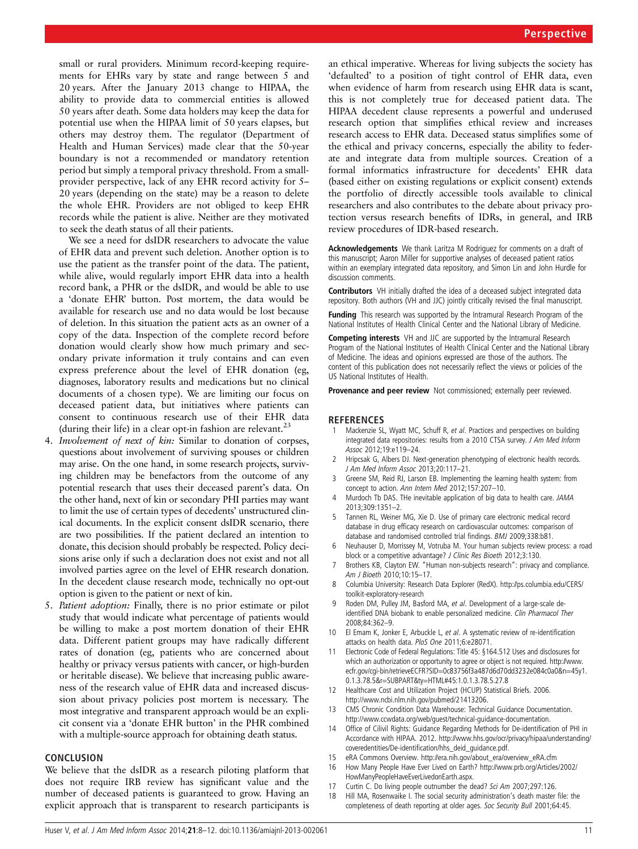small or rural providers. Minimum record-keeping requirements for EHRs vary by state and range between 5 and 20 years. After the January 2013 change to HIPAA, the ability to provide data to commercial entities is allowed 50 years after death. Some data holders may keep the data for potential use when the HIPAA limit of 50 years elapses, but others may destroy them. The regulator (Department of Health and Human Services) made clear that the 50-year boundary is not a recommended or mandatory retention period but simply a temporal privacy threshold. From a smallprovider perspective, lack of any EHR record activity for 5– 20 years (depending on the state) may be a reason to delete the whole EHR. Providers are not obliged to keep EHR records while the patient is alive. Neither are they motivated to seek the death status of all their patients.

We see a need for dsIDR researchers to advocate the value of EHR data and prevent such deletion. Another option is to use the patient as the transfer point of the data. The patient, while alive, would regularly import EHR data into a health record bank, a PHR or the dsIDR, and would be able to use a 'donate EHR' button. Post mortem, the data would be available for research use and no data would be lost because of deletion. In this situation the patient acts as an owner of a copy of the data. Inspection of the complete record before donation would clearly show how much primary and secondary private information it truly contains and can even express preference about the level of EHR donation (eg, diagnoses, laboratory results and medications but no clinical documents of a chosen type). We are limiting our focus on deceased patient data, but initiatives where patients can consent to continuous research use of their EHR data (during their life) in a clear opt-in fashion are relevant.<sup>23</sup>

- 4. Involvement of next of kin: Similar to donation of corpses, questions about involvement of surviving spouses or children may arise. On the one hand, in some research projects, surviving children may be benefactors from the outcome of any potential research that uses their deceased parent's data. On the other hand, next of kin or secondary PHI parties may want to limit the use of certain types of decedents' unstructured clinical documents. In the explicit consent dsIDR scenario, there are two possibilities. If the patient declared an intention to donate, this decision should probably be respected. Policy decisions arise only if such a declaration does not exist and not all involved parties agree on the level of EHR research donation. In the decedent clause research mode, technically no opt-out option is given to the patient or next of kin.
- 5. Patient adoption: Finally, there is no prior estimate or pilot study that would indicate what percentage of patients would be willing to make a post mortem donation of their EHR data. Different patient groups may have radically different rates of donation (eg, patients who are concerned about healthy or privacy versus patients with cancer, or high-burden or heritable disease). We believe that increasing public awareness of the research value of EHR data and increased discussion about privacy policies post mortem is necessary. The most integrative and transparent approach would be an explicit consent via a 'donate EHR button' in the PHR combined with a multiple-source approach for obtaining death status.

#### **CONCLUSION**

We believe that the dsIDR as a research piloting platform that does not require IRB review has significant value and the number of deceased patients is guaranteed to grow. Having an explicit approach that is transparent to research participants is

an ethical imperative. Whereas for living subjects the society has 'defaulted' to a position of tight control of EHR data, even when evidence of harm from research using EHR data is scant, this is not completely true for deceased patient data. The HIPAA decedent clause represents a powerful and underused research option that simplifies ethical review and increases research access to EHR data. Deceased status simplifies some of the ethical and privacy concerns, especially the ability to federate and integrate data from multiple sources. Creation of a formal informatics infrastructure for decedents' EHR data (based either on existing regulations or explicit consent) extends the portfolio of directly accessible tools available to clinical researchers and also contributes to the debate about privacy protection versus research benefits of IDRs, in general, and IRB review procedures of IDR-based research.

Acknowledgements We thank Laritza M Rodriguez for comments on a draft of this manuscript; Aaron Miller for supportive analyses of deceased patient ratios within an exemplary integrated data repository, and Simon Lin and John Hurdle for discussion comments.

Contributors VH initially drafted the idea of a deceased subject integrated data repository. Both authors (VH and JJC) jointly critically revised the final manuscript.

Funding This research was supported by the Intramural Research Program of the National Institutes of Health Clinical Center and the National Library of Medicine.

Competing interests VH and JJC are supported by the Intramural Research Program of the National Institutes of Health Clinical Center and the National Library of Medicine. The ideas and opinions expressed are those of the authors. The content of this publication does not necessarily reflect the views or policies of the US National Institutes of Health.

Provenance and peer review Not commissioned; externally peer reviewed.

#### **REFERENCES**

- Mackenzie SL, Wyatt MC, Schuff R, et al. Practices and perspectives on building integrated data repositories: results from a 2010 CTSA survey. J Am Med Inform Assoc 2012;19:e119–24.
- 2 Hripcsak G, Albers DJ. Next-generation phenotyping of electronic health records. J Am Med Inform Assoc 2013;20:117–21.
- 3 Greene SM, Reid RJ, Larson EB. Implementing the learning health system: from concept to action. Ann Intern Med 2012;157:207–10.
- 4 Murdoch Tb DAS. The inevitable application of big data to health care. JAMA 2013;309:1351–2.
- 5 Tannen RL, Weiner MG, Xie D. Use of primary care electronic medical record database in drug efficacy research on cardiovascular outcomes: comparison of database and randomised controlled trial findings. BMJ 2009;338:b81.
- 6 Neuhauser D, Morrissey M, Votruba M. Your human subjects review process: a road block or a competitive advantage? J Clinic Res Bioeth 2012;3:130.
- 7 Brothers KB, Clayton EW. "Human non-subjects research": privacy and compliance. Am J Bioeth 2010;10:15–17.
- 8 Columbia University: Research Data Explorer (RedX). [http://ps.columbia.edu/CERS/](http://ps.columbia.edu/CERS/toolkit-exploratory-research) [toolkit-exploratory-research](http://ps.columbia.edu/CERS/toolkit-exploratory-research)
- 9 Roden DM, Pulley JM, Basford MA, et al. Development of a large-scale deidentified DNA biobank to enable personalized medicine. Clin Pharmacol Ther 2008;84:362–9.
- 10 El Emam K, Jonker E, Arbuckle L, et al. A systematic review of re-identification attacks on health data. PloS One 2011;6:e28071.
- 11 Electronic Code of Federal Regulations: Title 45: §164.512 Uses and disclosures for which an authorization or opportunity to agree or object is not required. [http://www.](http://www.ecfr.gov/cgi-bin/retrieveECFR?SID=0c83756f3a487d6d70dd3232e084c0a0&n=45y1.0.1.3.78.5&r=SUBPART&ty=HTML#45:1.0.1.3.78.5.27.8) [ecfr.gov/cgi-bin/retrieveECFR?SID=0c83756f3a487d6d70dd3232e084c0a0&n=45y1.](http://www.ecfr.gov/cgi-bin/retrieveECFR?SID=0c83756f3a487d6d70dd3232e084c0a0&n=45y1.0.1.3.78.5&r=SUBPART&ty=HTML#45:1.0.1.3.78.5.27.8) [0.1.3.78.5&r=SUBPART&ty=HTML#45:1.0.1.3.78.5.27.8](http://www.ecfr.gov/cgi-bin/retrieveECFR?SID=0c83756f3a487d6d70dd3232e084c0a0&n=45y1.0.1.3.78.5&r=SUBPART&ty=HTML#45:1.0.1.3.78.5.27.8)
- 12 Healthcare Cost and Utilization Project (HCUP) Statistical Briefs. 2006. [http://www.ncbi.nlm.nih.gov/pubmed/21413206.](http://www.ncbi.nlm.nih.gov/pubmed/21413206)
- 13 CMS Chronic Condition Data Warehouse: Technical Guidance Documentation. [http://www.ccwdata.org/web/guest/technical-guidance-documentation.](http://www.ccwdata.org/web/guest/technical-guidance-documentation)
- 14 Office of Cilivil Rights: Guidance Regarding Methods for De-identification of PHI in Accordance with HIPAA. 2012. [http://www.hhs.gov/ocr/privacy/hipaa/understanding/](http://www.hhs.gov/ocr/privacy/hipaa/understanding/coveredentities/De-identification/hhs_deid_guidance.pdf) [coveredentities/De-i](http://www.hhs.gov/ocr/privacy/hipaa/understanding/coveredentities/De-identification/hhs_deid_guidance.pdf)dentifi[cation/hhs\\_deid\\_guidance.pdf.](http://www.hhs.gov/ocr/privacy/hipaa/understanding/coveredentities/De-identification/hhs_deid_guidance.pdf)
- 15 eRA Commons Overview. [http://era.nih.gov/about\\_era/overview\\_eRA.cfm](http://era.nih.gov/about_era/overview_eRA.cfm)
- 16 How Many People Have Ever Lived on Earth? [http://www.prb.org/Articles/2002/](http://www.prb.org/Articles/2002/HowManyPeopleHaveEverLivedonEarth.aspx) [HowManyPeopleHaveEverLivedonEarth.aspx.](http://www.prb.org/Articles/2002/HowManyPeopleHaveEverLivedonEarth.aspx)
- 17 Curtin C. Do living people outnumber the dead? Sci Am 2007;297:126.
- 18 Hill MA, Rosenwaike I. The social security administration's death master file: the completeness of death reporting at older ages. Soc Security Bull 2001;64:45.